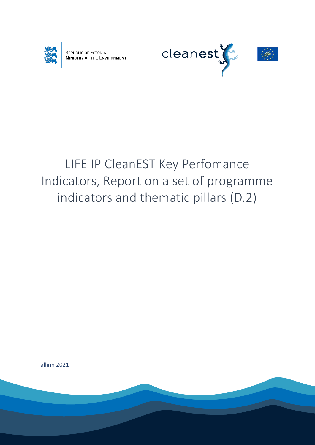

REPUBLIC OF ESTONIA<br>MINISTRY OF THE ENVIRONMENT



# LIFE IP CleanEST Key Perfomance Indicators, Report on a set of programme indicators and thematic pillars (D.2)

Tallinn 2021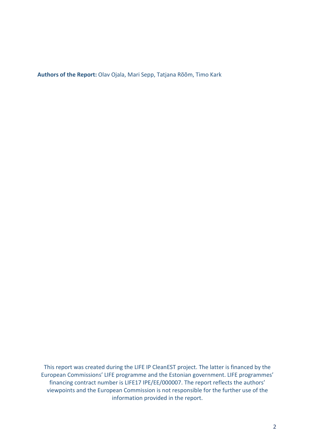**Authors of the Report:** Olav Ojala, Mari Sepp, Tatjana Rõõm, Timo Kark

This report was created during the LIFE IP CleanEST project. The latter is financed by the European Commissions' LIFE programme and the Estonian government. LIFE programmes' financing contract number is LIFE17 IPE/EE/000007. The report reflects the authors' viewpoints and the European Commission is not responsible for the further use of the information provided in the report.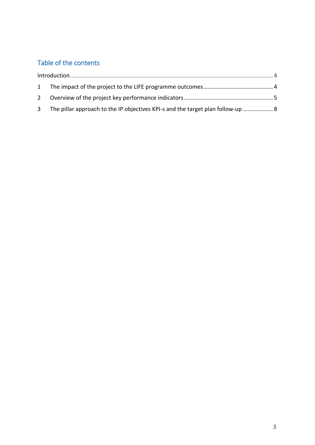## Table of the contents

| 3 The pillar approach to the IP objectives KPI-s and the target plan follow-up  8 |  |  |  |  |
|-----------------------------------------------------------------------------------|--|--|--|--|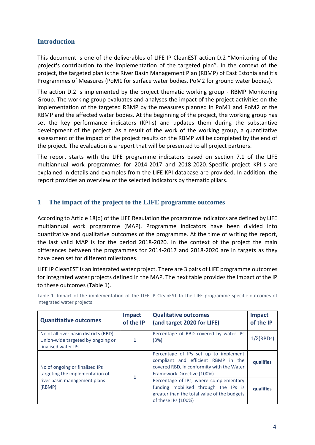#### <span id="page-3-0"></span>**Introduction**

This document is one of the deliverables of LIFE IP CleanEST action D.2 "Monitoring of the project's contribution to the implementation of the targeted plan". In the context of the project, the targeted plan is the River Basin Management Plan (RBMP) of East Estonia and it's Programmes of Measures (PoM1 for surface water bodies, PoM2 for ground water bodies).

The action D.2 is implemented by the project thematic working group - RBMP Monitoring Group. The working group evaluates and analyses the impact of the project activities on the implementation of the targeted RBMP by the measures planned in PoM1 and PoM2 of the RBMP and the affected water bodies. At the beginning of the project, the working group has set the key performance indicators (KPI-s) and updates them during the substantive development of the project. As a result of the work of the working group, a quantitative assessment of the impact of the project results on the RBMP will be completed by the end of the project. The evaluation is a report that will be presented to all project partners.

The report starts with the LIFE programme indicators based on section 7.1 of the LIFE multiannual work programmes for 2014-2017 and 2018-2020. Specific project KPI-s are explained in details and examples from the LIFE KPI database are provided. In addition, the report provides an overview of the selected indicators by thematic pillars.

#### <span id="page-3-1"></span>**1 The impact of the project to the LIFE programme outcomes**

According to Article 18(d) of the LIFE Regulation the programme indicators are defined by LIFE multiannual work programme (MAP). Programme indicators have been divided into quantitative and qualitative outcomes of the programme. At the time of writing the report, the last valid MAP is for the period 2018-2020. In the context of the project the main differences between the programmes for 2014-2017 and 2018-2020 are in targets as they have been set for different milestones.

LIFE IP CleanEST is an integrated water project. There are 3 pairs of LIFE programme outcomes for integrated water projects defined in the MAP. The next table provides the impact of the IP to these outcomes (Table 1).

| <b>Quantitative outcomes</b>                                                                      | <b>Impact</b><br>of the IP | <b>Qualitative outcomes</b><br>(and target 2020 for LIFE)                                                                                               | <b>Impact</b><br>of the IP |
|---------------------------------------------------------------------------------------------------|----------------------------|---------------------------------------------------------------------------------------------------------------------------------------------------------|----------------------------|
| No of all river basin districts (RBD)<br>Union-wide targeted by ongoing or<br>finalised water IPs | 1                          | Percentage of RBD covered by water IPs<br>(3%)                                                                                                          | $1/\Sigma$ (RBDs)          |
| No of ongoing or finalised IPs<br>targeting the implementation of                                 | 1                          | Percentage of IPs set up to implement<br>compliant and efficient RBMP in the<br>covered RBD, in conformity with the Water<br>Framework Directive (100%) | qualifies                  |
| river basin management plans<br>(RBMP)                                                            |                            | Percentage of IPs, where complementary<br>funding mobilised through the IPs is<br>greater than the total value of the budgets<br>of these IPs (100%)    | qualifies                  |

Table 1. Impact of the implementation of the LIFE IP CleanEST to the LIFE programme specific outcomes of integrated water projects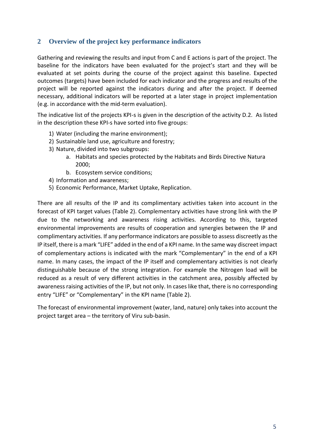### <span id="page-4-0"></span>**2 Overview of the project key performance indicators**

Gathering and reviewing the results and input from C and E actions is part of the project. The baseline for the indicators have been evaluated for the project's start and they will be evaluated at set points during the course of the project against this baseline. Expected outcomes (targets) have been included for each indicator and the progress and results of the project will be reported against the indicators during and after the project. If deemed necessary, additional indicators will be reported at a later stage in project implementation (e.g. in accordance with the mid-term evaluation).

The indicative list of the projects KPI-s is given in the description of the activity D.2. As listed in the description these KPI-s have sorted into five groups:

- 1) Water (including the marine environment);
- 2) Sustainable land use, agriculture and forestry;
- 3) Nature, divided into two subgroups:
	- a. Habitats and species protected by the Habitats and Birds Directive Natura 2000;
	- b. Ecosystem service conditions;
- 4) Information and awareness;
- 5) Economic Performance, Market Uptake, Replication.

There are all results of the IP and its complimentary activities taken into account in the forecast of KPI target values (Table 2). Complementary activities have strong link with the IP due to the networking and awareness rising activities. According to this, targeted environmental improvements are results of cooperation and synergies between the IP and complimentary activities. If any performance indicators are possible to assess discreetly as the IP itself, there is a mark "LIFE" added in the end of a KPI name. In the same way discreet impact of complementary actions is indicated with the mark "Complementary" in the end of a KPI name. In many cases, the impact of the IP itself and complementary activities is not clearly distinguishable because of the strong integration. For example the Nitrogen load will be reduced as a result of very different activities in the catchment area, possibly affected by awareness raising activities of the IP, but not only. In cases like that, there is no corresponding entry "LIFE" or "Complementary" in the KPI name (Table 2).

The forecast of environmental improvement (water, land, nature) only takes into account the project target area – the territory of Viru sub-basin.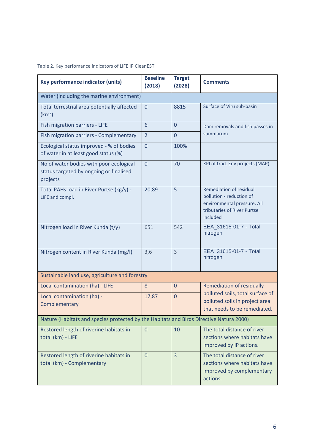#### Table 2. Key perfomance indicators of LIFE IP CleanEST

| Key performance indicator (units)                                                              | <b>Baseline</b><br>(2018) | <b>Target</b><br>(2028) | <b>Comments</b>                                                                                                                      |  |  |
|------------------------------------------------------------------------------------------------|---------------------------|-------------------------|--------------------------------------------------------------------------------------------------------------------------------------|--|--|
| Water (including the marine environment)                                                       |                           |                         |                                                                                                                                      |  |  |
| Total terrestrial area potentially affected<br>(km <sup>2</sup> )                              | $\Omega$                  | 8815                    | Surface of Viru sub-basin                                                                                                            |  |  |
| Fish migration barriers - LIFE                                                                 | 6                         | $\overline{0}$          | Dam removals and fish passes in                                                                                                      |  |  |
| Fish migration barriers - Complementary                                                        | $\overline{2}$            | $\overline{0}$          | summarum                                                                                                                             |  |  |
| Ecological status improved - % of bodies<br>of water in at least good status (%)               | $\overline{0}$            | 100%                    |                                                                                                                                      |  |  |
| No of water bodies with poor ecological<br>status targeted by ongoing or finalised<br>projects | $\overline{0}$            | 70                      | KPI of trad. Env projects (MAP)                                                                                                      |  |  |
| Total PAHs load in River Purtse (kg/y) -<br>LIFE and compl.                                    | 20,89                     | 5                       | <b>Remediation of residual</b><br>pollution - reduction of<br>environmental pressure. All<br>tributaries of River Purtse<br>included |  |  |
| Nitrogen load in River Kunda (t/y)                                                             | 651                       | 542                     | EEA_31615-01-7 - Total<br>nitrogen                                                                                                   |  |  |
| Nitrogen content in River Kunda (mg/l)                                                         | 3,6                       | 3                       | EEA_31615-01-7 - Total<br>nitrogen                                                                                                   |  |  |
| Sustainable land use, agriculture and forestry                                                 |                           |                         |                                                                                                                                      |  |  |
| Local contamination (ha) - LIFE                                                                | 8                         | $\overline{0}$          | <b>Remediation of residually</b>                                                                                                     |  |  |
| Local contamination (ha) -<br>Complementary                                                    | 17,87                     | $\overline{0}$          | polluted soils, total surface of<br>polluted soils in project area<br>that needs to be remediated.                                   |  |  |
| Nature (Habitats and species protected by the Habitats and Birds Directive Natura 2000)        |                           |                         |                                                                                                                                      |  |  |
| Restored length of riverine habitats in<br>total (km) - LIFE                                   | $\mathbf 0$               | 10                      | The total distance of river<br>sections where habitats have<br>improved by IP actions.                                               |  |  |
| Restored length of riverine habitats in<br>total (km) - Complementary                          | $\Omega$                  | 3                       | The total distance of river<br>sections where habitats have<br>improved by complementary<br>actions.                                 |  |  |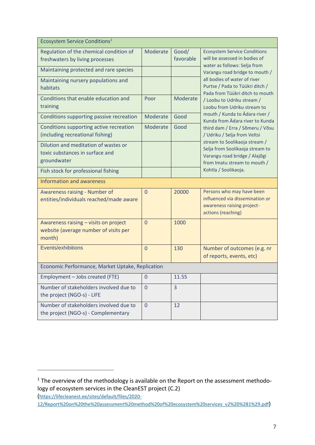| Ecosystem Service Conditions <sup>1</sup>                                                |                |                    |                                                                                                                                   |  |  |
|------------------------------------------------------------------------------------------|----------------|--------------------|-----------------------------------------------------------------------------------------------------------------------------------|--|--|
| Regulation of the chemical condition of<br>freshwaters by living processes               | Moderate       | Good/<br>favorable | <b>Ecosystem Service Conditions</b><br>will be assessed in bodies of<br>water as follows: Selja from                              |  |  |
| Maintaining protected and rare species                                                   |                |                    | Varangu road bridge to mouth /                                                                                                    |  |  |
| Maintaining nursery populations and<br>habitats                                          |                |                    | all bodies of water of river<br>Purtse / Pada to Tüükri ditch /<br>Pada from Tüükri ditch to mouth                                |  |  |
| Conditions that enable education and<br>training                                         | Poor           | Moderate           | / Loobu to Udriku stream /<br>Loobu from Udriku stream to                                                                         |  |  |
| Conditions supporting passive recreation                                                 | Moderate       | Good               | mouth / Kunda to Ädara river /<br>Kunda from Ädara river to Kunda                                                                 |  |  |
| Conditions supporting active recreation<br>(including recreational fishing)              | Moderate       | Good               | third dam / Erra / Sõmeru / Võsu<br>/ Udriku / Selja from Veltsi                                                                  |  |  |
| Dilution and meditation of wastes or<br>toxic substances in surface and<br>groundwater   |                |                    | stream to Soolikaoja stream /<br>Selja from Soolikaoja stream to<br>Varangu road bridge / Alajõgi<br>from Imatu stream to mouth / |  |  |
| Fish stock for professional fishing                                                      |                |                    | Kohtla / Soolikaoja.                                                                                                              |  |  |
| <b>Information and awareness</b>                                                         |                |                    |                                                                                                                                   |  |  |
| Awareness raising - Number of<br>entities/individuals reached/made aware                 | $\Omega$       | 20000              | Persons who may have been<br>influenced via dissemination or<br>awareness raising project-<br>actions (reaching)                  |  |  |
| Awareness raising - visits on project<br>website (average number of visits per<br>month) | $\overline{0}$ | 1000               |                                                                                                                                   |  |  |
| Events/exhibitions                                                                       | $\overline{0}$ | 130                | Number of outcomes (e.g. nr<br>of reports, events, etc)                                                                           |  |  |
| Economic Performance, Market Uptake, Replication                                         |                |                    |                                                                                                                                   |  |  |
| Employment - Jobs created (FTE)                                                          | $\overline{0}$ | 11.55              |                                                                                                                                   |  |  |
| Number of stakeholders involved due to<br>the project (NGO-s) - LIFE                     | $\overline{0}$ | $\overline{3}$     |                                                                                                                                   |  |  |
| Number of stakeholders involved due to<br>the project (NGO-s) - Complementary            | $\overline{0}$ | 12                 |                                                                                                                                   |  |  |

<span id="page-6-0"></span>1

 $1$  The overview of the methodology is available on the Report on the assessment methodology of ecosystem services in the CleanEST project (C.2) ([https://lifecleanest.ee/sites/default/files/2020-](https://lifecleanest.ee/sites/default/files/2020-12/Report%20on%20the%20assessment%20method%20of%20ecosystem%20services_v2%20%281%29.pdf)

[<sup>12/</sup>Report%20on%20the%20assessment%20method%20of%20ecosystem%20services\\_v2%20%281%29.pdf](https://lifecleanest.ee/sites/default/files/2020-12/Report%20on%20the%20assessment%20method%20of%20ecosystem%20services_v2%20%281%29.pdf))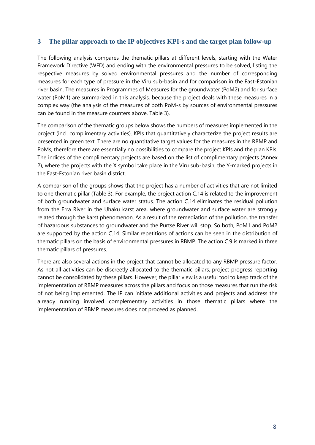#### **3 The pillar approach to the IP objectives KPI-s and the target plan follow-up**

The following analysis compares the thematic pillars at different levels, starting with the Water Framework Directive (WFD) and ending with the environmental pressures to be solved, listing the respective measures by solved environmental pressures and the number of corresponding measures for each type of pressure in the Viru sub-basin and for comparison in the East-Estonian river basin. The measures in Programmes of Measures for the groundwater (PoM2) and for surface water (PoM1) are summarized in this analysis, because the project deals with these measures in a complex way (the analysis of the measures of both PoM-s by sources of environmental pressures can be found in the measure counters above, Table 3).

The comparison of the thematic groups below shows the numbers of measures implemented in the project (incl. complimentary activities). KPIs that quantitatively characterize the project results are presented in green text. There are no quantitative target values for the measures in the RBMP and PoMs, therefore there are essentially no possibilities to compare the project KPIs and the plan KPIs. The indices of the complimentary projects are based on the list of complimentary projects (Annex 2), where the projects with the X symbol take place in the Viru sub-basin, the Y-marked projects in the East-Estonian river basin district.

A comparison of the groups shows that the project has a number of activities that are not limited to one thematic pillar (Table 3). For example, the project action C.14 is related to the improvement of both groundwater and surface water status. The action C.14 eliminates the residual pollution from the Erra River in the Uhaku karst area, where groundwater and surface water are strongly related through the karst phenomenon. As a result of the remediation of the pollution, the transfer of hazardous substances to groundwater and the Purtse River will stop. So both, PoM1 and PoM2 are supported by the action C.14. Similar repetitions of actions can be seen in the distribution of thematic pillars on the basis of environmental pressures in RBMP. The action C.9 is marked in three thematic pillars of pressures.

There are also several actions in the project that cannot be allocated to any RBMP pressure factor. As not all activities can be discreetly allocated to the thematic pillars, project progress reporting cannot be consolidated by these pillars. However, the pillar view is a useful tool to keep track of the implementation of RBMP measures across the pillars and focus on those measures that run the risk of not being implemented. The IP can initiate additional activities and projects and address the already running involved complementary activities in those thematic pillars where the implementation of RBMP measures does not proceed as planned.